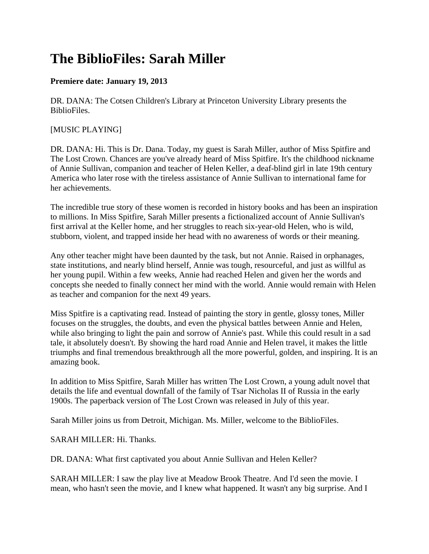## **The BiblioFiles: Sarah Miller**

## **Premiere date: January 19, 2013**

DR. DANA: The Cotsen Children's Library at Princeton University Library presents the BiblioFiles.

## [MUSIC PLAYING]

DR. DANA: Hi. This is Dr. Dana. Today, my guest is Sarah Miller, author of Miss Spitfire and The Lost Crown. Chances are you've already heard of Miss Spitfire. It's the childhood nickname of Annie Sullivan, companion and teacher of Helen Keller, a deaf-blind girl in late 19th century America who later rose with the tireless assistance of Annie Sullivan to international fame for her achievements.

The incredible true story of these women is recorded in history books and has been an inspiration to millions. In Miss Spitfire, Sarah Miller presents a fictionalized account of Annie Sullivan's first arrival at the Keller home, and her struggles to reach six-year-old Helen, who is wild, stubborn, violent, and trapped inside her head with no awareness of words or their meaning.

Any other teacher might have been daunted by the task, but not Annie. Raised in orphanages, state institutions, and nearly blind herself, Annie was tough, resourceful, and just as willful as her young pupil. Within a few weeks, Annie had reached Helen and given her the words and concepts she needed to finally connect her mind with the world. Annie would remain with Helen as teacher and companion for the next 49 years.

Miss Spitfire is a captivating read. Instead of painting the story in gentle, glossy tones, Miller focuses on the struggles, the doubts, and even the physical battles between Annie and Helen, while also bringing to light the pain and sorrow of Annie's past. While this could result in a sad tale, it absolutely doesn't. By showing the hard road Annie and Helen travel, it makes the little triumphs and final tremendous breakthrough all the more powerful, golden, and inspiring. It is an amazing book.

In addition to Miss Spitfire, Sarah Miller has written The Lost Crown, a young adult novel that details the life and eventual downfall of the family of Tsar Nicholas II of Russia in the early 1900s. The paperback version of The Lost Crown was released in July of this year.

Sarah Miller joins us from Detroit, Michigan. Ms. Miller, welcome to the BiblioFiles.

SARAH MILLER: Hi. Thanks.

DR. DANA: What first captivated you about Annie Sullivan and Helen Keller?

SARAH MILLER: I saw the play live at Meadow Brook Theatre. And I'd seen the movie. I mean, who hasn't seen the movie, and I knew what happened. It wasn't any big surprise. And I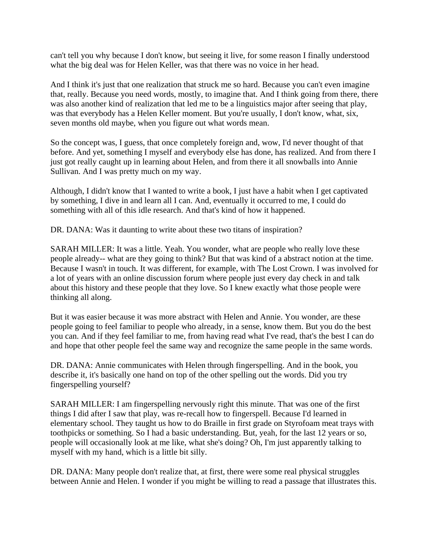can't tell you why because I don't know, but seeing it live, for some reason I finally understood what the big deal was for Helen Keller, was that there was no voice in her head.

And I think it's just that one realization that struck me so hard. Because you can't even imagine that, really. Because you need words, mostly, to imagine that. And I think going from there, there was also another kind of realization that led me to be a linguistics major after seeing that play, was that everybody has a Helen Keller moment. But you're usually, I don't know, what, six, seven months old maybe, when you figure out what words mean.

So the concept was, I guess, that once completely foreign and, wow, I'd never thought of that before. And yet, something I myself and everybody else has done, has realized. And from there I just got really caught up in learning about Helen, and from there it all snowballs into Annie Sullivan. And I was pretty much on my way.

Although, I didn't know that I wanted to write a book, I just have a habit when I get captivated by something, I dive in and learn all I can. And, eventually it occurred to me, I could do something with all of this idle research. And that's kind of how it happened.

DR. DANA: Was it daunting to write about these two titans of inspiration?

SARAH MILLER: It was a little. Yeah. You wonder, what are people who really love these people already-- what are they going to think? But that was kind of a abstract notion at the time. Because I wasn't in touch. It was different, for example, with The Lost Crown. I was involved for a lot of years with an online discussion forum where people just every day check in and talk about this history and these people that they love. So I knew exactly what those people were thinking all along.

But it was easier because it was more abstract with Helen and Annie. You wonder, are these people going to feel familiar to people who already, in a sense, know them. But you do the best you can. And if they feel familiar to me, from having read what I've read, that's the best I can do and hope that other people feel the same way and recognize the same people in the same words.

DR. DANA: Annie communicates with Helen through fingerspelling. And in the book, you describe it, it's basically one hand on top of the other spelling out the words. Did you try fingerspelling yourself?

SARAH MILLER: I am fingerspelling nervously right this minute. That was one of the first things I did after I saw that play, was re-recall how to fingerspell. Because I'd learned in elementary school. They taught us how to do Braille in first grade on Styrofoam meat trays with toothpicks or something. So I had a basic understanding. But, yeah, for the last 12 years or so, people will occasionally look at me like, what she's doing? Oh, I'm just apparently talking to myself with my hand, which is a little bit silly.

DR. DANA: Many people don't realize that, at first, there were some real physical struggles between Annie and Helen. I wonder if you might be willing to read a passage that illustrates this.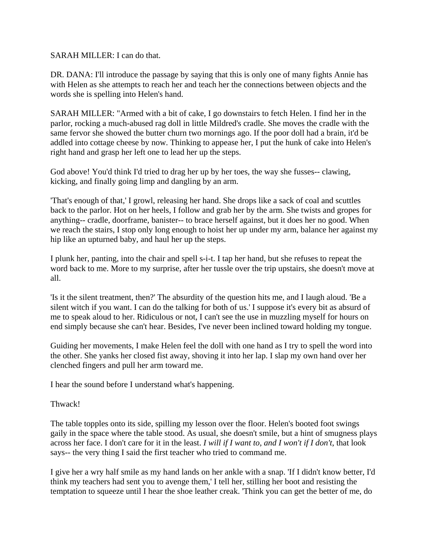SARAH MILLER: I can do that.

DR. DANA: I'll introduce the passage by saying that this is only one of many fights Annie has with Helen as she attempts to reach her and teach her the connections between objects and the words she is spelling into Helen's hand.

SARAH MILLER: "Armed with a bit of cake, I go downstairs to fetch Helen. I find her in the parlor, rocking a much-abused rag doll in little Mildred's cradle. She moves the cradle with the same fervor she showed the butter churn two mornings ago. If the poor doll had a brain, it'd be addled into cottage cheese by now. Thinking to appease her, I put the hunk of cake into Helen's right hand and grasp her left one to lead her up the steps.

God above! You'd think I'd tried to drag her up by her toes, the way she fusses-- clawing, kicking, and finally going limp and dangling by an arm.

'That's enough of that,' I growl, releasing her hand. She drops like a sack of coal and scuttles back to the parlor. Hot on her heels, I follow and grab her by the arm. She twists and gropes for anything-- cradle, doorframe, banister-- to brace herself against, but it does her no good. When we reach the stairs, I stop only long enough to hoist her up under my arm, balance her against my hip like an upturned baby, and haul her up the steps.

I plunk her, panting, into the chair and spell s-i-t. I tap her hand, but she refuses to repeat the word back to me. More to my surprise, after her tussle over the trip upstairs, she doesn't move at all.

'Is it the silent treatment, then?' The absurdity of the question hits me, and I laugh aloud. 'Be a silent witch if you want. I can do the talking for both of us.' I suppose it's every bit as absurd of me to speak aloud to her. Ridiculous or not, I can't see the use in muzzling myself for hours on end simply because she can't hear. Besides, I've never been inclined toward holding my tongue.

Guiding her movements, I make Helen feel the doll with one hand as I try to spell the word into the other. She yanks her closed fist away, shoving it into her lap. I slap my own hand over her clenched fingers and pull her arm toward me.

I hear the sound before I understand what's happening.

Thwack!

The table topples onto its side, spilling my lesson over the floor. Helen's booted foot swings gaily in the space where the table stood. As usual, she doesn't smile, but a hint of smugness plays across her face. I don't care for it in the least. *I will if I want to, and I won't if I don't*, that look says-- the very thing I said the first teacher who tried to command me.

I give her a wry half smile as my hand lands on her ankle with a snap. 'If I didn't know better, I'd think my teachers had sent you to avenge them,' I tell her, stilling her boot and resisting the temptation to squeeze until I hear the shoe leather creak. 'Think you can get the better of me, do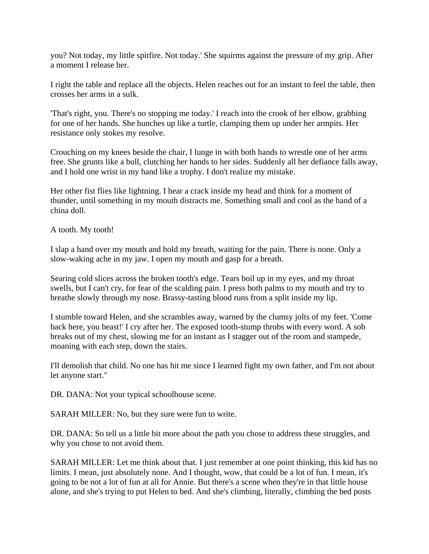you? Not today, my little spitfire. Not today.' She squirms against the pressure of my grip. After a moment I release her.

I right the table and replace all the objects. Helen reaches out for an instant to feel the table, then crosses her arms in a sulk.

'That's right, you. There's no stopping me today.' I reach into the crook of her elbow, grabbing for one of her hands. She hunches up like a turtle, clamping them up under her armpits. Her resistance only stokes my resolve.

Crouching on my knees beside the chair, I lunge in with both hands to wrestle one of her arms free. She grunts like a bull, clutching her hands to her sides. Suddenly all her defiance falls away, and I hold one wrist in my hand like a trophy. I don't realize my mistake.

Her other fist flies like lightning. I hear a crack inside my head and think for a moment of thunder, until something in my mouth distracts me. Something small and cool as the hand of a china doll.

A tooth. My tooth!

I slap a hand over my mouth and hold my breath, waiting for the pain. There is none. Only a slow-waking ache in my jaw. I open my mouth and gasp for a breath.

Searing cold slices across the broken tooth's edge. Tears boil up in my eyes, and my throat swells, but I can't cry, for fear of the scalding pain. I press both palms to my mouth and try to breathe slowly through my nose. Brassy-tasting blood runs from a split inside my lip.

I stumble toward Helen, and she scrambles away, warned by the clumsy jolts of my feet. 'Come back here, you beast!' I cry after her. The exposed tooth-stump throbs with every word. A sob breaks out of my chest, slowing me for an instant as I stagger out of the room and stampede, moaning with each step, down the stairs.

I'll demolish that child. No one has hit me since I learned fight my own father, and I'm not about let anyone start."

DR. DANA: Not your typical schoolhouse scene.

SARAH MILLER: No, but they sure were fun to write.

DR. DANA: So tell us a little bit more about the path you chose to address these struggles, and why you chose to not avoid them.

SARAH MILLER: Let me think about that. I just remember at one point thinking, this kid has no limits. I mean, just absolutely none. And I thought, wow, that could be a lot of fun. I mean, it's going to be not a lot of fun at all for Annie. But there's a scene when they're in that little house alone, and she's trying to put Helen to bed. And she's climbing, literally, climbing the bed posts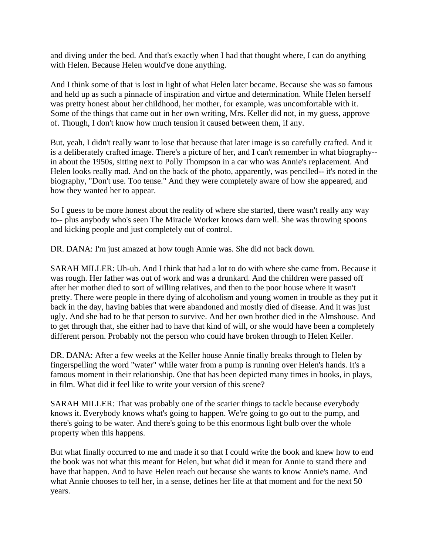and diving under the bed. And that's exactly when I had that thought where, I can do anything with Helen. Because Helen would've done anything.

And I think some of that is lost in light of what Helen later became. Because she was so famous and held up as such a pinnacle of inspiration and virtue and determination. While Helen herself was pretty honest about her childhood, her mother, for example, was uncomfortable with it. Some of the things that came out in her own writing, Mrs. Keller did not, in my guess, approve of. Though, I don't know how much tension it caused between them, if any.

But, yeah, I didn't really want to lose that because that later image is so carefully crafted. And it is a deliberately crafted image. There's a picture of her, and I can't remember in what biography- in about the 1950s, sitting next to Polly Thompson in a car who was Annie's replacement. And Helen looks really mad. And on the back of the photo, apparently, was penciled-- it's noted in the biography, "Don't use. Too tense." And they were completely aware of how she appeared, and how they wanted her to appear.

So I guess to be more honest about the reality of where she started, there wasn't really any way to-- plus anybody who's seen The Miracle Worker knows darn well. She was throwing spoons and kicking people and just completely out of control.

DR. DANA: I'm just amazed at how tough Annie was. She did not back down.

SARAH MILLER: Uh-uh. And I think that had a lot to do with where she came from. Because it was rough. Her father was out of work and was a drunkard. And the children were passed off after her mother died to sort of willing relatives, and then to the poor house where it wasn't pretty. There were people in there dying of alcoholism and young women in trouble as they put it back in the day, having babies that were abandoned and mostly died of disease. And it was just ugly. And she had to be that person to survive. And her own brother died in the Almshouse. And to get through that, she either had to have that kind of will, or she would have been a completely different person. Probably not the person who could have broken through to Helen Keller.

DR. DANA: After a few weeks at the Keller house Annie finally breaks through to Helen by fingerspelling the word "water" while water from a pump is running over Helen's hands. It's a famous moment in their relationship. One that has been depicted many times in books, in plays, in film. What did it feel like to write your version of this scene?

SARAH MILLER: That was probably one of the scarier things to tackle because everybody knows it. Everybody knows what's going to happen. We're going to go out to the pump, and there's going to be water. And there's going to be this enormous light bulb over the whole property when this happens.

But what finally occurred to me and made it so that I could write the book and knew how to end the book was not what this meant for Helen, but what did it mean for Annie to stand there and have that happen. And to have Helen reach out because she wants to know Annie's name. And what Annie chooses to tell her, in a sense, defines her life at that moment and for the next 50 years.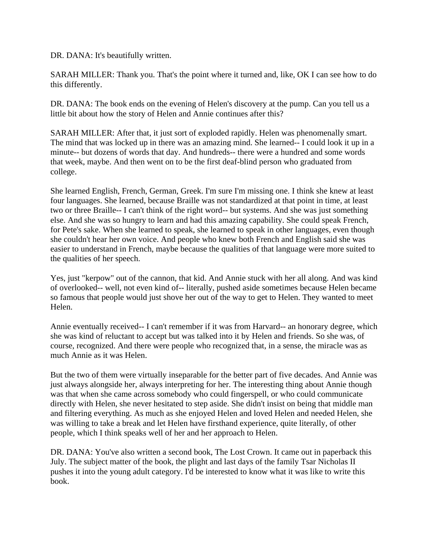DR. DANA: It's beautifully written.

SARAH MILLER: Thank you. That's the point where it turned and, like, OK I can see how to do this differently.

DR. DANA: The book ends on the evening of Helen's discovery at the pump. Can you tell us a little bit about how the story of Helen and Annie continues after this?

SARAH MILLER: After that, it just sort of exploded rapidly. Helen was phenomenally smart. The mind that was locked up in there was an amazing mind. She learned-- I could look it up in a minute-- but dozens of words that day. And hundreds-- there were a hundred and some words that week, maybe. And then went on to be the first deaf-blind person who graduated from college.

She learned English, French, German, Greek. I'm sure I'm missing one. I think she knew at least four languages. She learned, because Braille was not standardized at that point in time, at least two or three Braille-- I can't think of the right word-- but systems. And she was just something else. And she was so hungry to learn and had this amazing capability. She could speak French, for Pete's sake. When she learned to speak, she learned to speak in other languages, even though she couldn't hear her own voice. And people who knew both French and English said she was easier to understand in French, maybe because the qualities of that language were more suited to the qualities of her speech.

Yes, just "kerpow" out of the cannon, that kid. And Annie stuck with her all along. And was kind of overlooked-- well, not even kind of-- literally, pushed aside sometimes because Helen became so famous that people would just shove her out of the way to get to Helen. They wanted to meet Helen.

Annie eventually received-- I can't remember if it was from Harvard-- an honorary degree, which she was kind of reluctant to accept but was talked into it by Helen and friends. So she was, of course, recognized. And there were people who recognized that, in a sense, the miracle was as much Annie as it was Helen.

But the two of them were virtually inseparable for the better part of five decades. And Annie was just always alongside her, always interpreting for her. The interesting thing about Annie though was that when she came across somebody who could fingerspell, or who could communicate directly with Helen, she never hesitated to step aside. She didn't insist on being that middle man and filtering everything. As much as she enjoyed Helen and loved Helen and needed Helen, she was willing to take a break and let Helen have firsthand experience, quite literally, of other people, which I think speaks well of her and her approach to Helen.

DR. DANA: You've also written a second book, The Lost Crown. It came out in paperback this July. The subject matter of the book, the plight and last days of the family Tsar Nicholas II pushes it into the young adult category. I'd be interested to know what it was like to write this book.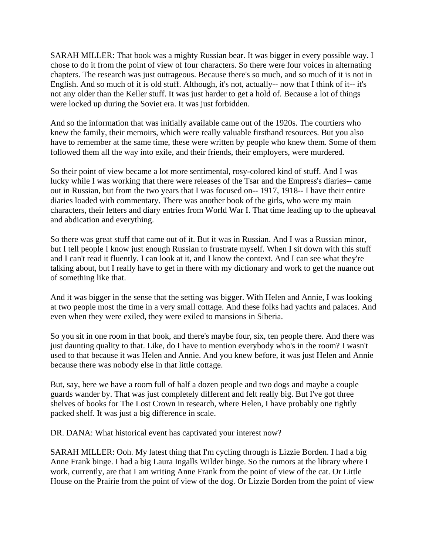SARAH MILLER: That book was a mighty Russian bear. It was bigger in every possible way. I chose to do it from the point of view of four characters. So there were four voices in alternating chapters. The research was just outrageous. Because there's so much, and so much of it is not in English. And so much of it is old stuff. Although, it's not, actually-- now that I think of it-- it's not any older than the Keller stuff. It was just harder to get a hold of. Because a lot of things were locked up during the Soviet era. It was just forbidden.

And so the information that was initially available came out of the 1920s. The courtiers who knew the family, their memoirs, which were really valuable firsthand resources. But you also have to remember at the same time, these were written by people who knew them. Some of them followed them all the way into exile, and their friends, their employers, were murdered.

So their point of view became a lot more sentimental, rosy-colored kind of stuff. And I was lucky while I was working that there were releases of the Tsar and the Empress's diaries-- came out in Russian, but from the two years that I was focused on-- 1917, 1918-- I have their entire diaries loaded with commentary. There was another book of the girls, who were my main characters, their letters and diary entries from World War I. That time leading up to the upheaval and abdication and everything.

So there was great stuff that came out of it. But it was in Russian. And I was a Russian minor, but I tell people I know just enough Russian to frustrate myself. When I sit down with this stuff and I can't read it fluently. I can look at it, and I know the context. And I can see what they're talking about, but I really have to get in there with my dictionary and work to get the nuance out of something like that.

And it was bigger in the sense that the setting was bigger. With Helen and Annie, I was looking at two people most the time in a very small cottage. And these folks had yachts and palaces. And even when they were exiled, they were exiled to mansions in Siberia.

So you sit in one room in that book, and there's maybe four, six, ten people there. And there was just daunting quality to that. Like, do I have to mention everybody who's in the room? I wasn't used to that because it was Helen and Annie. And you knew before, it was just Helen and Annie because there was nobody else in that little cottage.

But, say, here we have a room full of half a dozen people and two dogs and maybe a couple guards wander by. That was just completely different and felt really big. But I've got three shelves of books for The Lost Crown in research, where Helen, I have probably one tightly packed shelf. It was just a big difference in scale.

DR. DANA: What historical event has captivated your interest now?

SARAH MILLER: Ooh. My latest thing that I'm cycling through is Lizzie Borden. I had a big Anne Frank binge. I had a big Laura Ingalls Wilder binge. So the rumors at the library where I work, currently, are that I am writing Anne Frank from the point of view of the cat. Or Little House on the Prairie from the point of view of the dog. Or Lizzie Borden from the point of view